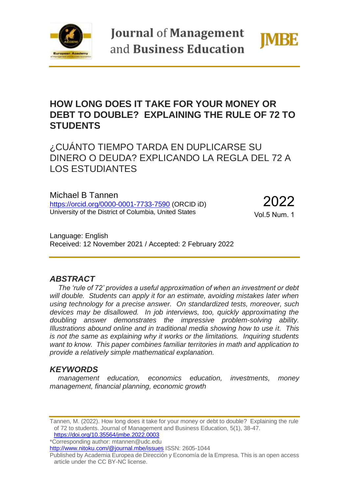

**Journal of Management** and Business Education



# **HOW LONG DOES IT TAKE FOR YOUR MONEY OR DEBT TO DOUBLE? EXPLAINING THE RULE OF 72 TO STUDENTS**

# ¿CUÁNTO TIEMPO TARDA EN DUPLICARSE SU DINERO O DEUDA? EXPLICANDO LA REGLA DEL 72 A LOS ESTUDIANTES

Michael B Tannen <https://orcid.org/0000-0001-7733-7590> (ORCID iD) University of the District of Columbia, United States

2022 Vol.5 Num. 1

Language: English Received: 12 November 2021 / Accepted: 2 February 2022

#### *ABSTRACT*

*The 'rule of 72' provides a useful approximation of when an investment or debt will double. Students can apply it for an estimate, avoiding mistakes later when using technology for a precise answer. On standardized tests, moreover, such devices may be disallowed. In job interviews, too, quickly approximating the doubling answer demonstrates the impressive problem-solving ability. Illustrations abound online and in traditional media showing how to use it. This is not the same as explaining why it works or the limitations. Inquiring students want to know. This paper combines familiar territories in math and application to provide a relatively simple mathematical explanation.*

### *KEYWORDS*

*management education, economics education, investments, money management, financial planning, economic growth*

\*Corresponding author: mtannen@udc.edu

<http://www.nitoku.com/@journal.mbe/issues> ISSN: 2605-1044

Tannen, M. (2022). How long does it take for your money or debt to double? Explaining the rule of 72 to students. Journal of Management and Business Education, 5(1), 38-47. <https://doi.org/10.35564/jmbe.2022.0003>

Published by Academia Europea de Dirección y Economía de la Empresa. This is an open access article under the CC BY-NC license.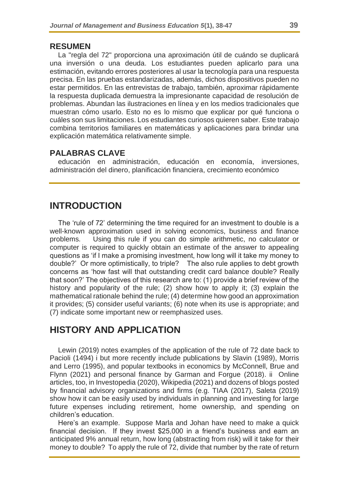#### **RESUMEN**

La "regla del 72" proporciona una aproximación útil de cuándo se duplicará una inversión o una deuda. Los estudiantes pueden aplicarlo para una estimación, evitando errores posteriores al usar la tecnología para una respuesta precisa. En las pruebas estandarizadas, además, dichos dispositivos pueden no estar permitidos. En las entrevistas de trabajo, también, aproximar rápidamente la respuesta duplicada demuestra la impresionante capacidad de resolución de problemas. Abundan las ilustraciones en línea y en los medios tradicionales que muestran cómo usarlo. Esto no es lo mismo que explicar por qué funciona o cuáles son sus limitaciones. Los estudiantes curiosos quieren saber. Este trabajo combina territorios familiares en matemáticas y aplicaciones para brindar una explicación matemática relativamente simple.

#### **PALABRAS CLAVE**

educación en administración, educación en economía, inversiones, administración del dinero, planificación financiera, crecimiento económico

### **INTRODUCTION**

The 'rule of 72' determining the time required for an investment to double is a well-known approximation used in solving economics, business and finance problems. Using this rule if you can do simple arithmetic, no calculator or computer is required to quickly obtain an estimate of the answer to appealing questions as 'if I make a promising investment, how long will it take my money to double?' Or more optimistically, to triple? The also rule applies to debt growth concerns as 'how fast will that outstanding credit card balance double? Really that soon?' The objectives of this research are to: (1) provide a brief review of the history and popularity of the rule; (2) show how to apply it; (3) explain the mathematical rationale behind the rule; (4) determine how good an approximation it provides; (5) consider useful variants; (6) note when its use is appropriate; and (7) indicate some important new or reemphasized uses.

## **HISTORY AND APPLICATION**

Lewin (2019) notes examples of the application of the rule of 72 date back to Pacioli (1494) i but more recently include publications by Slavin (1989), Morris and Lerro (1995), and popular textbooks in economics by McConnell, Brue and Flynn (2021) and personal finance by Garman and Forgue (2018). ii Online articles, too, in Investopedia (2020), Wikipedia (2021) and dozens of blogs posted by financial advisory organizations and firms (e.g. TIAA (2017), Saleta (2019) show how it can be easily used by individuals in planning and investing for large future expenses including retirement, home ownership, and spending on children's education.

Here's an example. Suppose Marla and Johan have need to make a quick financial decision. If they invest \$25,000 in a friend's business and earn an anticipated 9% annual return, how long (abstracting from risk) will it take for their money to double? To apply the rule of 72, divide that number by the rate of return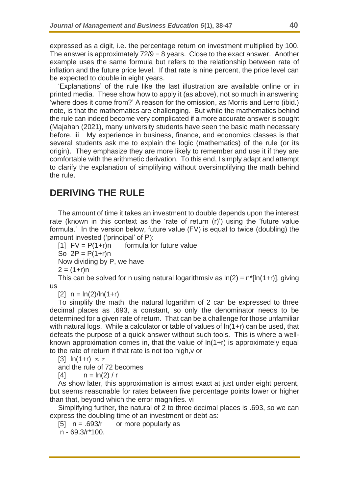expressed as a digit, i.e. the percentage return on investment multiplied by 100. The answer is approximately  $72/9 = 8$  years. Close to the exact answer. Another example uses the same formula but refers to the relationship between rate of inflation and the future price level. If that rate is nine percent, the price level can be expected to double in eight years.

'Explanations' of the rule like the last illustration are available online or in printed media. These show how to apply it (as above), not so much in answering 'where does it come from?' A reason for the omission, as Morris and Lerro (ibid.) note, is that the mathematics are challenging. But while the mathematics behind the rule can indeed become very complicated if a more accurate answer is sought (Majahan (2021), many university students have seen the basic math necessary before. iii My experience in business, finance, and economics classes is that several students ask me to explain the logic (mathematics) of the rule (or its origin). They emphasize they are more likely to remember and use it if they are comfortable with the arithmetic derivation. To this end, I simply adapt and attempt to clarify the explanation of simplifying without oversimplifying the math behind the rule.

# **DERIVING THE RULE**

The amount of time it takes an investment to double depends upon the interest rate (known in this context as the 'rate of return (r)') using the 'future value formula.' In the version below, future value (FV) is equal to twice (doubling) the amount invested ('principal' of P):

 $[1]$  FV = P(1+r)n formula for future value So  $2P = P(1+r)n$ Now dividing by P, we have  $2 = (1+r)n$ 

This can be solved for n using natural logarithmsiv as  $ln(2) = n^*[ln(1+r)]$ , giving us

 $[2]$  n =  $\ln(2)/\ln(1+r)$ 

To simplify the math, the natural logarithm of 2 can be expressed to three decimal places as .693, a constant, so only the denominator needs to be determined for a given rate of return. That can be a challenge for those unfamiliar with natural logs. While a calculator or table of values of ln(1+r) can be used, that defeats the purpose of a quick answer without such tools. This is where a wellknown approximation comes in, that the value of ln(1+r) is approximately equal to the rate of return if that rate is not too high,v or

[3]  $ln(1+r) \approx r$ 

and the rule of 72 becomes

 $[4]$  n =  $ln(2) / r$ 

As show later, this approximation is almost exact at just under eight percent, but seems reasonable for rates between five percentage points lower or higher than that, beyond which the error magnifies. vi

Simplifying further, the natural of 2 to three decimal places is .693, so we can express the doubling time of an investment or debt as:

 $[5]$  n = .693/r or more popularly as

n - 69.3/r\*100.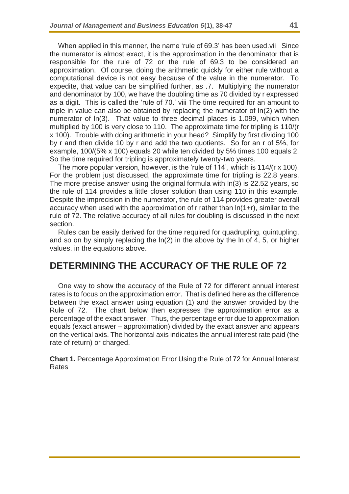When applied in this manner, the name 'rule of 69.3' has been used. vii Since the numerator is almost exact, it is the approximation in the denominator that is responsible for the rule of 72 or the rule of 69.3 to be considered an approximation. Of course, doing the arithmetic quickly for either rule without a computational device is not easy because of the value in the numerator. To expedite, that value can be simplified further, as .7. Multiplying the numerator and denominator by 100, we have the doubling time as 70 divided by r expressed as a digit. This is called the 'rule of 70.' viii The time required for an amount to triple in value can also be obtained by replacing the numerator of ln(2) with the numerator of ln(3). That value to three decimal places is 1.099, which when multiplied by 100 is very close to 110. The approximate time for tripling is 110/(r x 100). Trouble with doing arithmetic in your head? Simplify by first dividing 100 by r and then divide 10 by r and add the two quotients. So for an r of 5%, for example, 100/(5% x 100) equals 20 while ten divided by 5% times 100 equals 2. So the time required for tripling is approximately twenty-two years.

The more popular version, however, is the 'rule of 114', which is 114/(r x 100). For the problem just discussed, the approximate time for tripling is 22.8 years. The more precise answer using the original formula with ln(3) is 22.52 years, so the rule of 114 provides a little closer solution than using 110 in this example. Despite the imprecision in the numerator, the rule of 114 provides greater overall accuracy when used with the approximation of r rather than ln(1+r), similar to the rule of 72. The relative accuracy of all rules for doubling is discussed in the next section.

Rules can be easily derived for the time required for quadrupling, quintupling, and so on by simply replacing the ln(2) in the above by the ln of 4, 5, or higher values. in the equations above.

## **DETERMINING THE ACCURACY OF THE RULE OF 72**

One way to show the accuracy of the Rule of 72 for different annual interest rates is to focus on the approximation error. That is defined here as the difference between the exact answer using equation (1) and the answer provided by the Rule of 72. The chart below then expresses the approximation error as a percentage of the exact answer. Thus, the percentage error due to approximation equals (exact answer – approximation) divided by the exact answer and appears on the vertical axis. The horizontal axis indicates the annual interest rate paid (the rate of return) or charged.

**Chart 1.** Percentage Approximation Error Using the Rule of 72 for Annual Interest Rates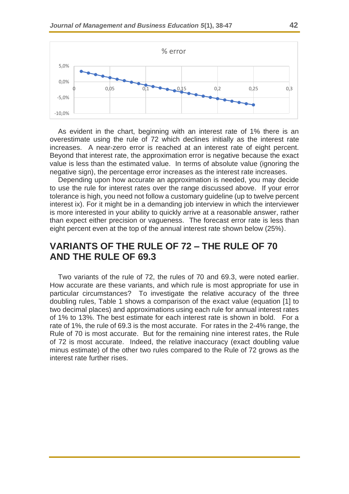

As evident in the chart, beginning with an interest rate of 1% there is an overestimate using the rule of 72 which declines initially as the interest rate increases. A near-zero error is reached at an interest rate of eight percent. Beyond that interest rate, the approximation error is negative because the exact value is less than the estimated value. In terms of absolute value (ignoring the negative sign), the percentage error increases as the interest rate increases.

Depending upon how accurate an approximation is needed, you may decide to use the rule for interest rates over the range discussed above. If your error tolerance is high, you need not follow a customary guideline (up to twelve percent interest ix). For it might be in a demanding job interview in which the interviewer is more interested in your ability to quickly arrive at a reasonable answer, rather than expect either precision or vagueness. The forecast error rate is less than eight percent even at the top of the annual interest rate shown below (25%).

## **VARIANTS OF THE RULE OF 72 – THE RULE OF 70 AND THE RULE OF 69.3**

Two variants of the rule of 72, the rules of 70 and 69.3, were noted earlier. How accurate are these variants, and which rule is most appropriate for use in particular circumstances? To investigate the relative accuracy of the three doubling rules, Table 1 shows a comparison of the exact value (equation [1] to two decimal places) and approximations using each rule for annual interest rates of 1% to 13%. The best estimate for each interest rate is shown in bold. For a rate of 1%, the rule of 69.3 is the most accurate. For rates in the 2-4% range, the Rule of 70 is most accurate. But for the remaining nine interest rates, the Rule of 72 is most accurate. Indeed, the relative inaccuracy (exact doubling value minus estimate) of the other two rules compared to the Rule of 72 grows as the interest rate further rises.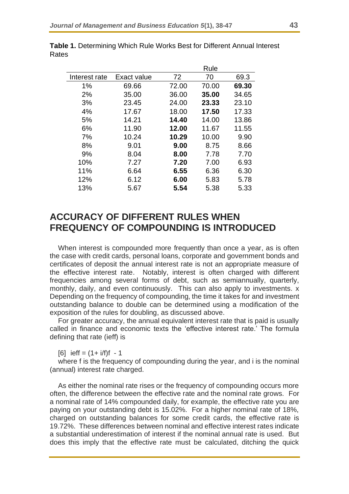|             | Rule  |       |       |
|-------------|-------|-------|-------|
| Exact value | 72    | 70    | 69.3  |
| 69.66       | 72.00 | 70.00 | 69.30 |
| 35.00       | 36.00 | 35.00 | 34.65 |
| 23.45       | 24.00 | 23.33 | 23.10 |
| 17.67       | 18.00 | 17.50 | 17.33 |
| 14.21       | 14.40 | 14.00 | 13.86 |
| 11.90       | 12.00 | 11.67 | 11.55 |
| 10.24       | 10.29 | 10.00 | 9.90  |
| 9.01        | 9.00  | 8.75  | 8.66  |
| 8.04        | 8.00  | 7.78  | 7.70  |
| 7.27        | 7.20  | 7.00  | 6.93  |
| 6.64        | 6.55  | 6.36  | 6.30  |
| 6.12        | 6.00  | 5.83  | 5.78  |
| 5.67        | 5.54  | 5.38  | 5.33  |
|             |       |       |       |

**Table 1.** Determining Which Rule Works Best for Different Annual Interest Rates

# **ACCURACY OF DIFFERENT RULES WHEN FREQUENCY OF COMPOUNDING IS INTRODUCED**

When interest is compounded more frequently than once a year, as is often the case with credit cards, personal loans, corporate and government bonds and certificates of deposit the annual interest rate is not an appropriate measure of the effective interest rate. Notably, interest is often charged with different frequencies among several forms of debt, such as semiannually, quarterly, monthly, daily, and even continuously. This can also apply to investments. x Depending on the frequency of compounding, the time it takes for and investment outstanding balance to double can be determined using a modification of the exposition of the rules for doubling, as discussed above.

For greater accuracy, the annual equivalent interest rate that is paid is usually called in finance and economic texts the 'effective interest rate.' The formula defining that rate (ieff) is

 $[6]$  ieff =  $(1 + i/f)f - 1$ 

where f is the frequency of compounding during the year, and i is the nominal (annual) interest rate charged.

As either the nominal rate rises or the frequency of compounding occurs more often, the difference between the effective rate and the nominal rate grows. For a nominal rate of 14% compounded daily, for example, the effective rate you are paying on your outstanding debt is 15.02%. For a higher nominal rate of 18%, charged on outstanding balances for some credit cards, the effective rate is 19.72%. These differences between nominal and effective interest rates indicate a substantial underestimation of interest if the nominal annual rate is used. But does this imply that the effective rate must be calculated, ditching the quick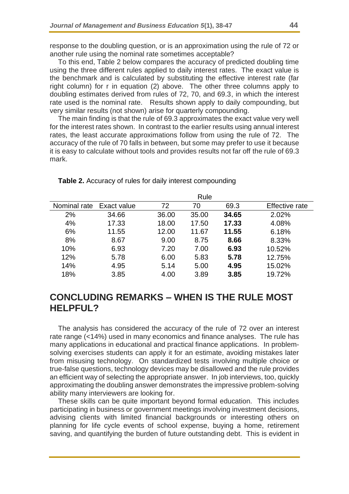response to the doubling question, or is an approximation using the rule of 72 or another rule using the nominal rate sometimes acceptable?

To this end, Table 2 below compares the accuracy of predicted doubling time using the three different rules applied to daily interest rates. The exact value is the benchmark and is calculated by substituting the effective interest rate (far right column) for r in equation (2) above. The other three columns apply to doubling estimates derived from rules of 72, 70, and 69.3, in which the interest rate used is the nominal rate. Results shown apply to daily compounding, but very similar results (not shown) arise for quarterly compounding.

The main finding is that the rule of 69.3 approximates the exact value very well for the interest rates shown. In contrast to the earlier results using annual interest rates, the least accurate approximations follow from using the rule of 72. The accuracy of the rule of 70 falls in between, but some may prefer to use it because it is easy to calculate without tools and provides results not far off the rule of 69.3 mark.

|              | Rule        |       |       |       |                       |  |
|--------------|-------------|-------|-------|-------|-----------------------|--|
| Nominal rate | Exact value | 72    | 70    | 69.3  | <b>Effective rate</b> |  |
| 2%           | 34.66       | 36.00 | 35.00 | 34.65 | 2.02%                 |  |
| 4%           | 17.33       | 18.00 | 17.50 | 17.33 | 4.08%                 |  |
| 6%           | 11.55       | 12.00 | 11.67 | 11.55 | 6.18%                 |  |
| 8%           | 8.67        | 9.00  | 8.75  | 8.66  | 8.33%                 |  |
| 10%          | 6.93        | 7.20  | 7.00  | 6.93  | 10.52%                |  |
| 12%          | 5.78        | 6.00  | 5.83  | 5.78  | 12.75%                |  |
| 14%          | 4.95        | 5.14  | 5.00  | 4.95  | 15.02%                |  |
| 18%          | 3.85        | 4.00  | 3.89  | 3.85  | 19.72%                |  |

#### **Table 2.** Accuracy of rules for daily interest compounding

## **CONCLUDING REMARKS – WHEN IS THE RULE MOST HELPFUL?**

The analysis has considered the accuracy of the rule of 72 over an interest rate range (<14%) used in many economics and finance analyses. The rule has many applications in educational and practical finance applications. In problemsolving exercises students can apply it for an estimate, avoiding mistakes later from misusing technology. On standardized tests involving multiple choice or true-false questions, technology devices may be disallowed and the rule provides an efficient way of selecting the appropriate answer. In job interviews, too, quickly approximating the doubling answer demonstrates the impressive problem-solving ability many interviewers are looking for.

These skills can be quite important beyond formal education. This includes participating in business or government meetings involving investment decisions, advising clients with limited financial backgrounds or interesting others on planning for life cycle events of school expense, buying a home, retirement saving, and quantifying the burden of future outstanding debt. This is evident in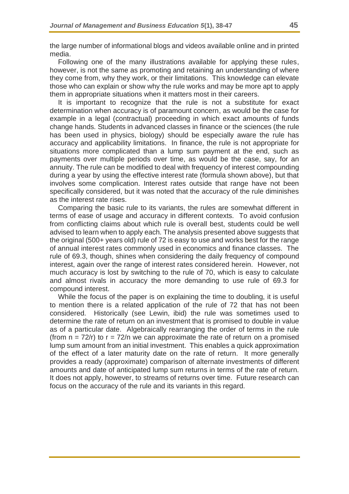the large number of informational blogs and videos available online and in printed media.

Following one of the many illustrations available for applying these rules, however, is not the same as promoting and retaining an understanding of where they come from, why they work, or their limitations. This knowledge can elevate those who can explain or show why the rule works and may be more apt to apply them in appropriate situations when it matters most in their careers.

It is important to recognize that the rule is not a substitute for exact determination when accuracy is of paramount concern, as would be the case for example in a legal (contractual) proceeding in which exact amounts of funds change hands. Students in advanced classes in finance or the sciences (the rule has been used in physics, biology) should be especially aware the rule has accuracy and applicability limitations. In finance, the rule is not appropriate for situations more complicated than a lump sum payment at the end, such as payments over multiple periods over time, as would be the case, say, for an annuity. The rule can be modified to deal with frequency of interest compounding during a year by using the effective interest rate (formula shown above), but that involves some complication. Interest rates outside that range have not been specifically considered, but it was noted that the accuracy of the rule diminishes as the interest rate rises.

Comparing the basic rule to its variants, the rules are somewhat different in terms of ease of usage and accuracy in different contexts. To avoid confusion from conflicting claims about which rule is overall best, students could be well advised to learn when to apply each. The analysis presented above suggests that the original (500+ years old) rule of 72 is easy to use and works best for the range of annual interest rates commonly used in economics and finance classes. The rule of 69.3, though, shines when considering the daily frequency of compound interest, again over the range of interest rates considered herein. However, not much accuracy is lost by switching to the rule of 70, which is easy to calculate and almost rivals in accuracy the more demanding to use rule of 69.3 for compound interest.

While the focus of the paper is on explaining the time to doubling, it is useful to mention there is a related application of the rule of 72 that has not been considered. Historically (see Lewin, ibid) the rule was sometimes used to determine the rate of return on an investment that is promised to double in value as of a particular date. Algebraically rearranging the order of terms in the rule (from  $n = 72/r$ ) to  $r = 72/n$  we can approximate the rate of return on a promised lump sum amount from an initial investment. This enables a quick approximation of the effect of a later maturity date on the rate of return. It more generally provides a ready (approximate) comparison of alternate investments of different amounts and date of anticipated lump sum returns in terms of the rate of return. It does not apply, however, to streams of returns over time. Future research can focus on the accuracy of the rule and its variants in this regard.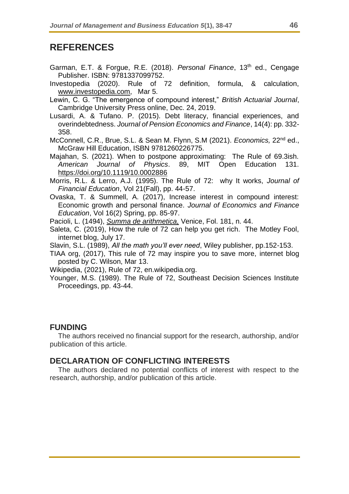## **REFERENCES**

- Garman, E.T. & Forgue, R.E. (2018). *Personal Finance*, 13th ed., Cengage Publisher. ISBN: 9781337099752.
- Investopedia (2020). Rule of 72 definition, formula, & calculation, [www.investopedia.com,](http://www.investopedia.com/) Mar 5.
- Lewin, C. G. "The emergence of compound interest," *British Actuarial Journal*, Cambridge University Press online, Dec. 24, 2019.
- Lusardi, A. & Tufano. P. (2015). Debt literacy, financial experiences, and overindebtedness. *Journal of Pension Economics and Finance*, 14(4): pp. 332- 358.
- McConnell, C.R., Brue, S.L. & Sean M. Flynn, S.M (2021). *Economics,* 22nd ed., McGraw Hill Education, ISBN 9781260226775.
- Majahan, S. (2021). When to postpone approximating: The Rule of 69.3ish. *American Journal of Physics*. 89, MIT Open Education 131. <https://doi.org/10.1119/10.0002886>
- Morris, R.L. & Lerro, A.J. (1995). The Rule of 72: why It works, *Journal of Financial Education*, Vol 21(Fall), pp. 44-57.
- Ovaska, T. & Summell, A. (2017), Increase interest in compound interest: Economic growth and personal finance. *Journal of Economics and Finance Education*, Vol 16(2) Spring, pp. 85-97.

Pacioli, L. (1494), *[Summa de arithmetica,](https://en.wikipedia.org/wiki/Summa_de_arithmetica)* Venice, Fol. 181, n. 44.

- Saleta, C. (2019), How the rule of 72 can help you get rich. The Motley Fool, internet blog, July 17.
- Slavin, S.L. (1989), *All the math you'll ever need*, Wiley publisher, pp.152-153.
- TIAA org, (2017), This rule of 72 may inspire you to save more, internet blog posted by C. Wilson, Mar 13.

Wikipedia, (2021), Rule of 72, en.wikipedia.org.

Younger, M.S. (1989). The Rule of 72, Southeast Decision Sciences Institute Proceedings, pp. 43-44.

#### **FUNDING**

The authors received no financial support for the research, authorship, and/or publication of this article.

#### **DECLARATION OF CONFLICTING INTERESTS**

The authors declared no potential conflicts of interest with respect to the research, authorship, and/or publication of this article.